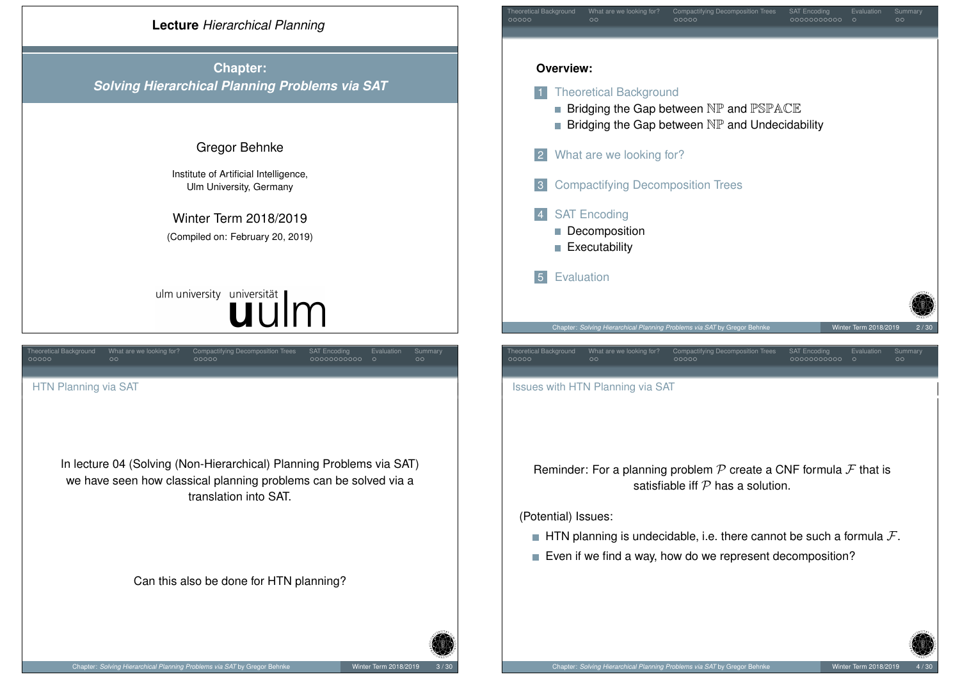<span id="page-0-0"></span>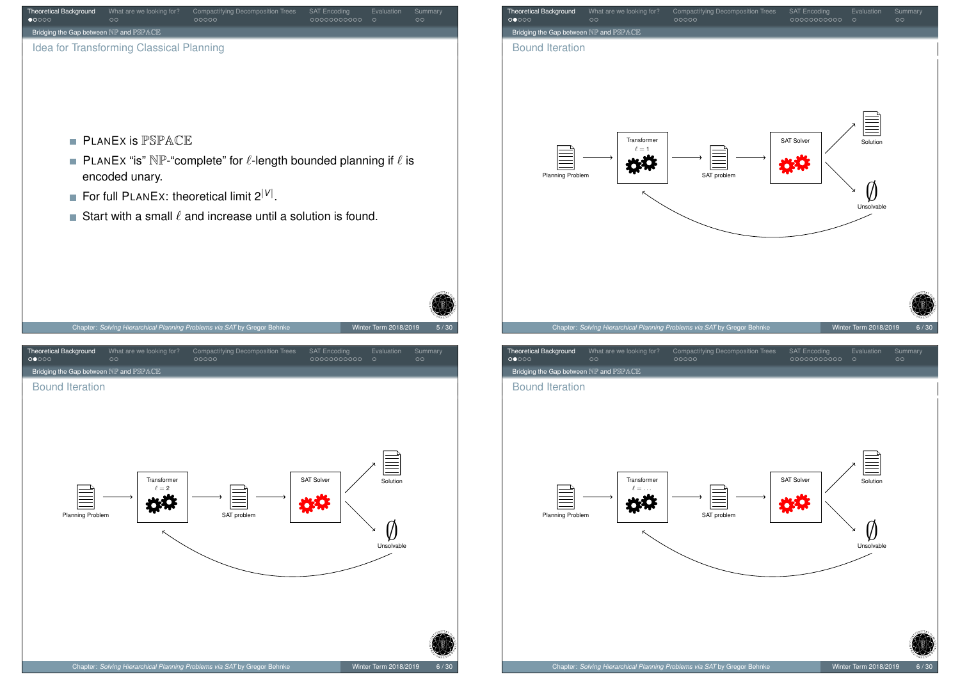<span id="page-1-0"></span>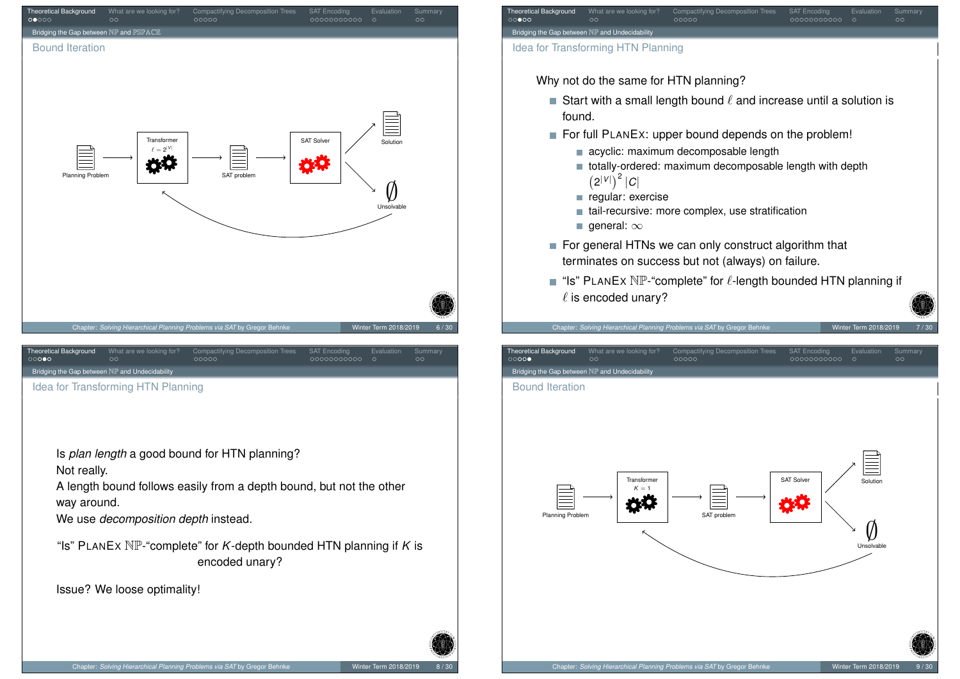<span id="page-2-0"></span>

∅ Unsolvable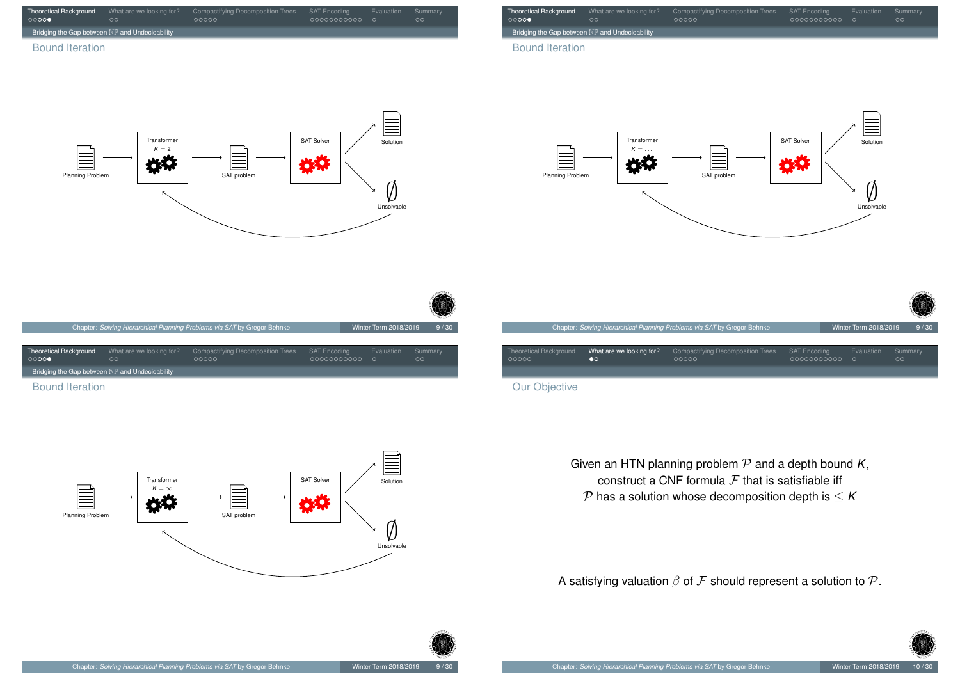<span id="page-3-0"></span>

| Theoretical Background<br>00000                | What are we looking for?<br>$\circ$ | Compactifying Decomposition Trees<br>00000                               | <b>SAT Encoding</b><br>00000000000 | Evaluation<br>Summary<br>$\circ$<br>$\circ$ |      |
|------------------------------------------------|-------------------------------------|--------------------------------------------------------------------------|------------------------------------|---------------------------------------------|------|
| Bridging the Gap between NP and Undecidability |                                     |                                                                          |                                    |                                             |      |
| <b>Bound Iteration</b><br>Planning Problem     | Transformer<br>$K = \ldots$<br>κ    | SAT problem                                                              | <b>SAT Solver</b>                  | Solution<br>Unsolvable                      |      |
|                                                |                                     | Chapter: Solving Hierarchical Planning Problems via SAT by Gregor Behnke |                                    | Winter Term 2018/2019                       | 9/30 |
| <b>Theoretical Background</b>                  | What are we looking for?            | Compactifying Decomposition Trees                                        | <b>SAT Encoding</b>                | Evaluation<br>Summary                       |      |

Our Objective

Given an HTN planning problem  $P$  and a depth bound  $K$ , construct a CNF formula  $\mathcal F$  that is satisfiable iff  $P$  has a solution whose decomposition depth is  $\leq K$ 

A satisfying valuation  $\beta$  of  $\mathcal F$  should represent a solution to  $\mathcal P$ .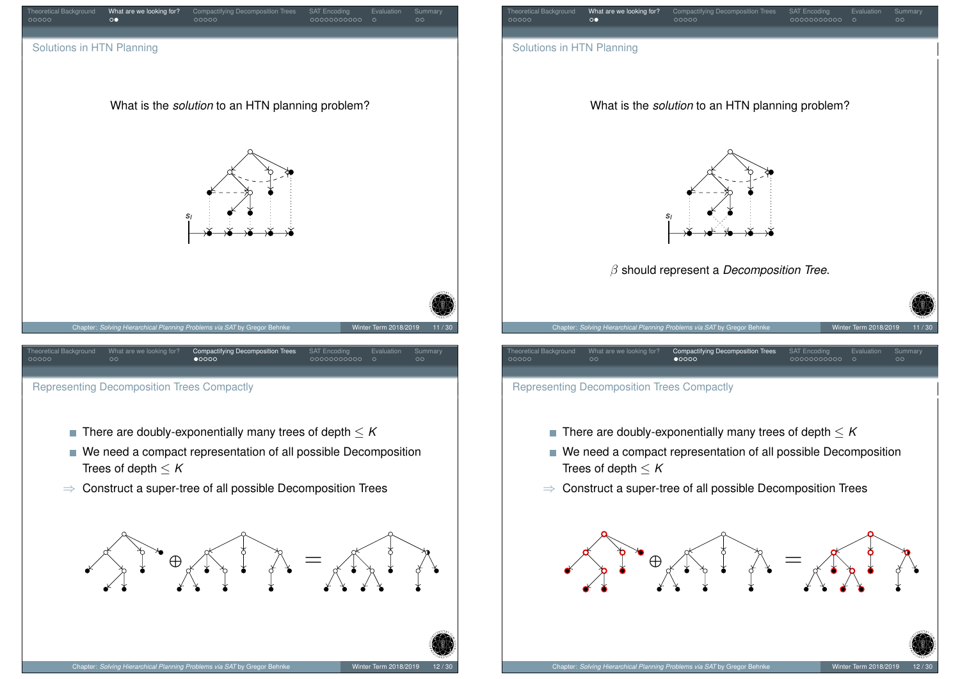

- <span id="page-4-0"></span> $\blacksquare$  There are doubly-exponentially many trees of depth  $\leq K$
- We need a compact representation of all possible Decomposition Trees of depth  $\leq K$
- ⇒ Construct a super-tree of all possible Decomposition Trees





- Representing Decomposition Trees Compactly
	- There are doubly-exponentially many trees of depth  $\leq K$
	- We need a compact representation of all possible Decomposition Trees of depth  $\leq K$
	- ⇒ Construct a super-tree of all possible Decomposition Trees

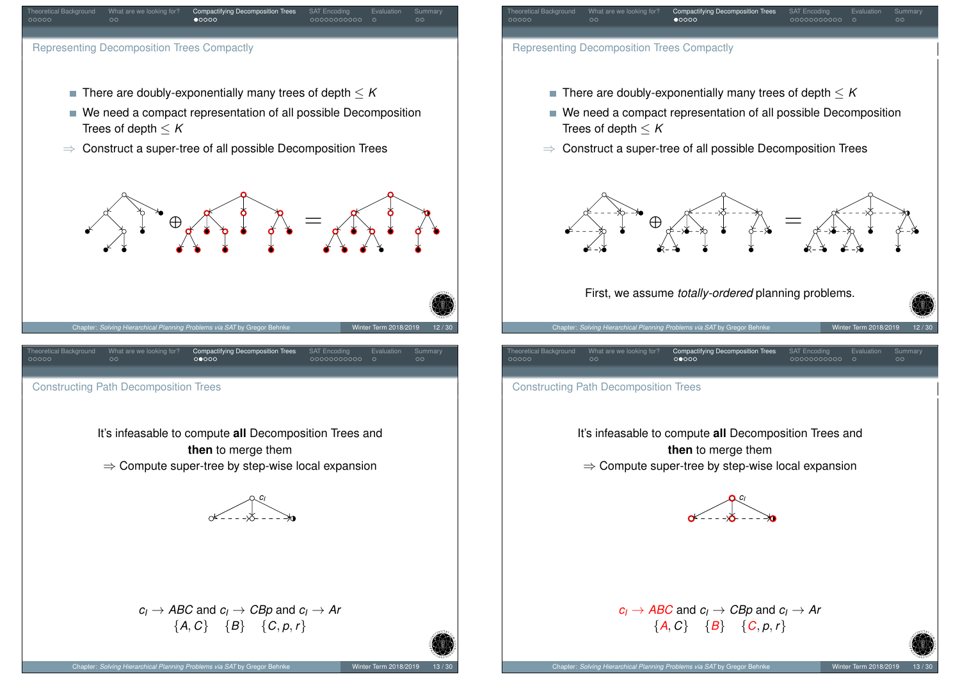<span id="page-5-0"></span>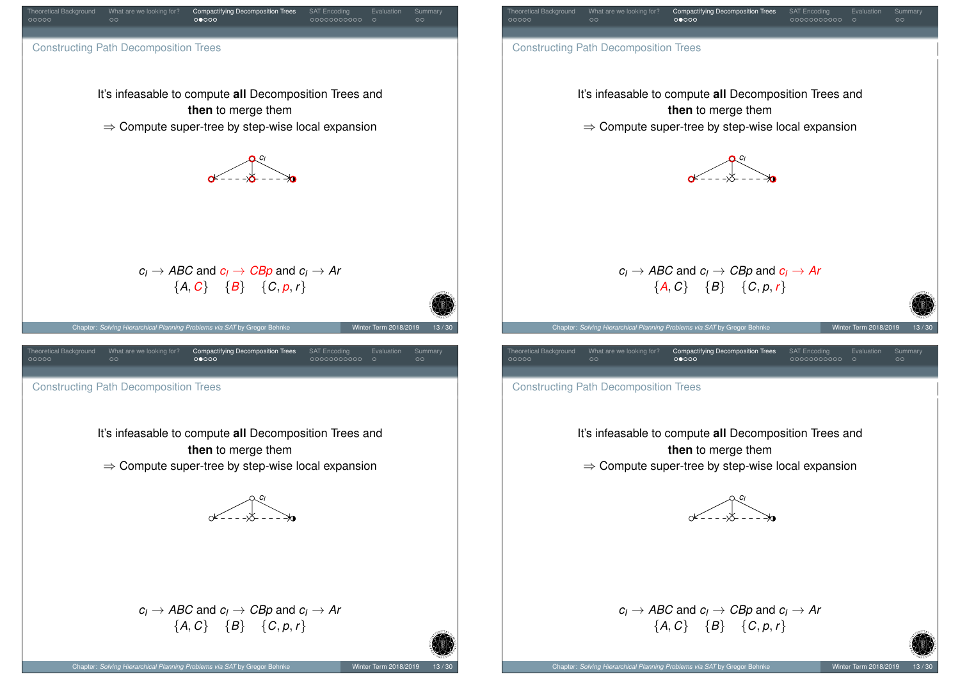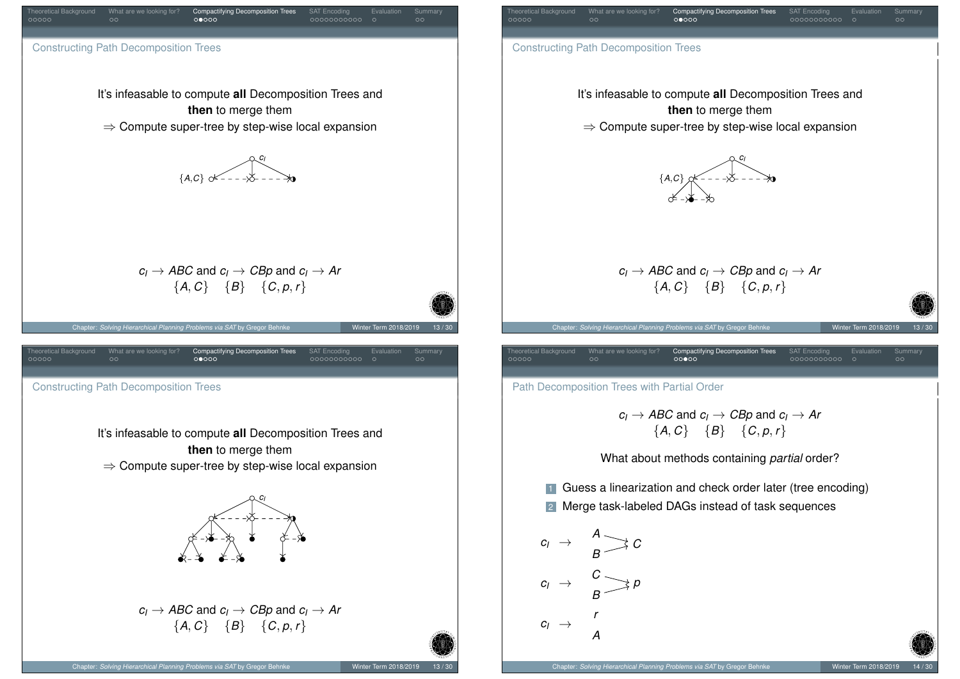<span id="page-7-0"></span>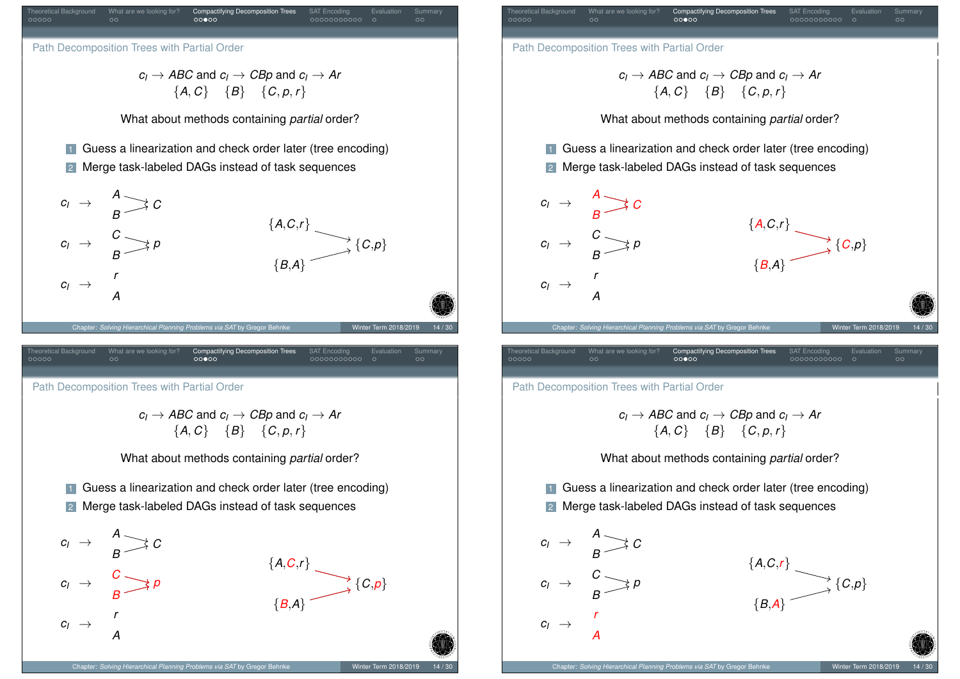

{*B*,*A*}



<span id="page-8-0"></span> $c<sub>I</sub>$ 

*A r*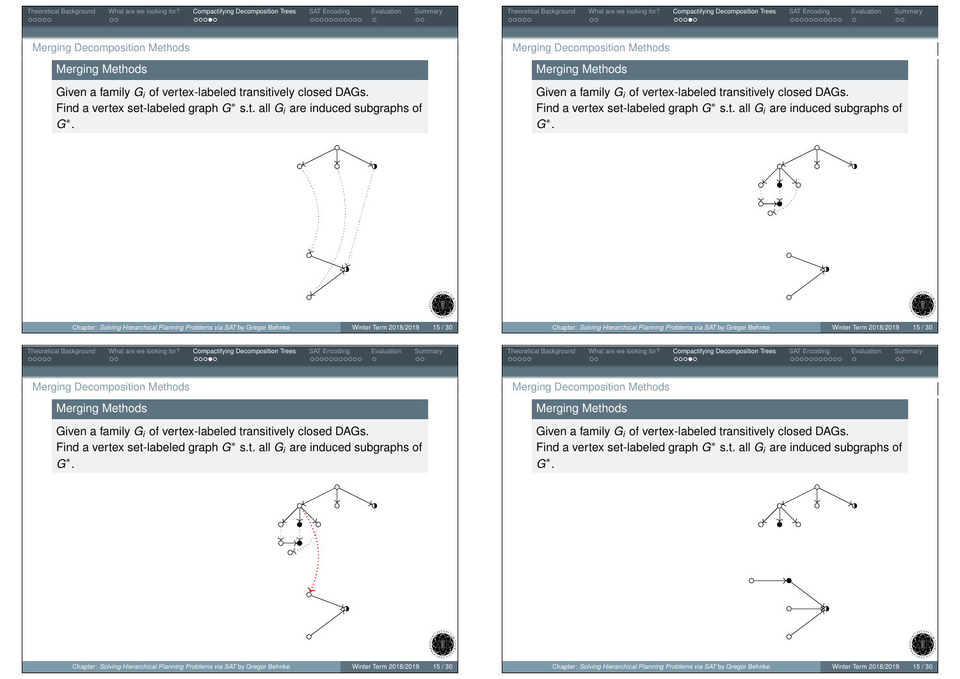

# Merging Methods

Given a family *G<sup>i</sup>* of vertex-labeled transitively closed DAGs. Find a vertex set-labeled graph *G* ∗ s.t. all *G<sup>i</sup>* are induced subgraphs of *G* ∗ .



## <span id="page-9-0"></span>Merging D[e](#page-3-0)[c](#page-4-0)omposition M[et](#page-4-0)[h](#page-5-0)[o](#page-7-0)[ds](#page-10-0)

#### Merging Methods

Given a family *G<sup>i</sup>* of vertex-labeled transitively closed DAGs. Find a vertex set-labeled graph *G*<sup>∗</sup> s.t. all *G<sub>i</sub>* are induced subgraphs of *G* ∗ .



# Theoretical Background What are we looking for? Compactifying Decomposition Trees SAT Encoding Evaluation Summary Merging Decomposition Methods Merging Methods Given a family *G<sup>i</sup>* of vertex-labeled transitively closed DAGs. Find a vertex set-labeled graph *G* ∗ s.t. all *G<sup>i</sup>* are induced subgraphs of *G* ∗ .



#### Merging Decomposition Methods

## Merging Methods

Given a family *G<sup>i</sup>* of vertex-labeled transitively closed DAGs. Find a vertex set-labeled graph *G*<sup>∗</sup> s.t. all *G<sub>i</sub>* are induced subgraphs of *G* ∗ .

Theoretical Background What are we looking for? Compactifying Decomposition Trees SAT Encoding Evaluation Summary



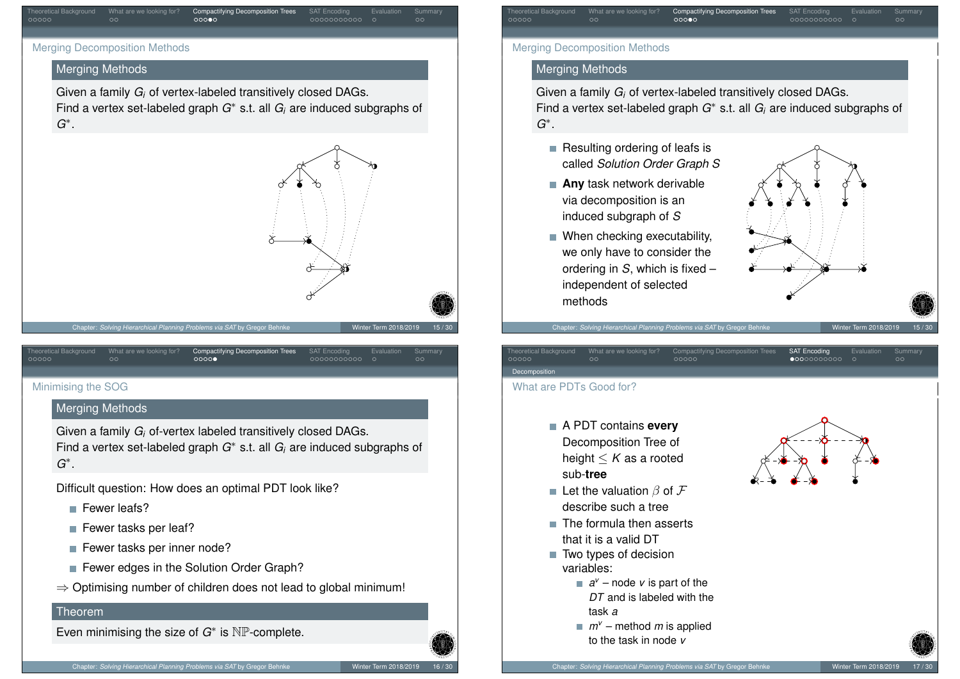

# Merging Methods

Given a family *G<sup>i</sup>* of vertex-labeled transitively closed DAGs. Find a vertex set-labeled graph *G* ∗ s.t. all *G<sup>i</sup>* are induced subgraphs of *G* ∗ .



## <span id="page-10-0"></span>[Mini](#page-10-0)misin[g](#page-3-0) [th](#page-4-0)e SOG

# Merging Methods

Given a family *G<sup>i</sup>* of-vertex labeled transitively closed DAGs. Find a vertex set-labeled graph *G*<sup>∗</sup> s.t. all *G<sub>i</sub>* are induced subgraphs of *G* ∗ .

Theoretical Background What are we looking for? Compactifying Decomposition Trees SAT Encoding Evaluation Summary

Difficult question: How does an optimal PDT look like?

- Fewer leafs?
- Fewer tasks per leaf?
- Fewer tasks per inner node?
- Fewer edges in the Solution Order Graph?
- ⇒ Optimising number of children does not lead to global minimum!

#### Theorem

Even minimising the size of  $G^*$  is  $\mathbb{NP}$ -complete.



# Merging Methods

Given a family *G<sup>i</sup>* of vertex-labeled transitively closed DAGs. Find a vertex set-labeled graph *G* ∗ s.t. all *G<sup>i</sup>* are induced subgraphs of *G* ∗ .

Theoretical Background What are we looking for? Compactifying Decomposition Trees SAT Encoding Evaluation Summary

- $\blacksquare$  Resulting ordering of leafs is called *Solution Order Graph S*
- **Any** task network derivable via decomposition is an induced subgraph of *S*
- When checking executability, we only have to consider the ordering in *S*, which is fixed – independent of selected methods



Chapter: *Solving Hierarchical Planning Problems via SAT* by Gregor Behnke Winter Term 2018/201

| Theoretical Background | What are we looking for? | Compactifying Decomposition Trees | <b>SAT Encoding</b>  | Evaluation | <b>Summary</b> |
|------------------------|--------------------------|-----------------------------------|----------------------|------------|----------------|
| 00000                  | OC                       | 00000                             | $\bullet$ 0000000000 | $\circ$    | $\circ \circ$  |
| Decomposition          |                          |                                   |                      |            |                |

#### What are PDTs Good for?

- A PDT contains **every** Decomposition Tree of height ≤ *K* as a rooted sub-**tree**
- Let the valuation  $\beta$  of  $\mathcal F$ describe such a tree
- $\blacksquare$  The formula then asserts that it is a valid DT
- Two types of decision variables:
	- $a^{\nu}$  node  $\nu$  is part of the *DT* and is labeled with the task *a*
	- *m<sup>v</sup>* method *m* is applied to the task in node *v*

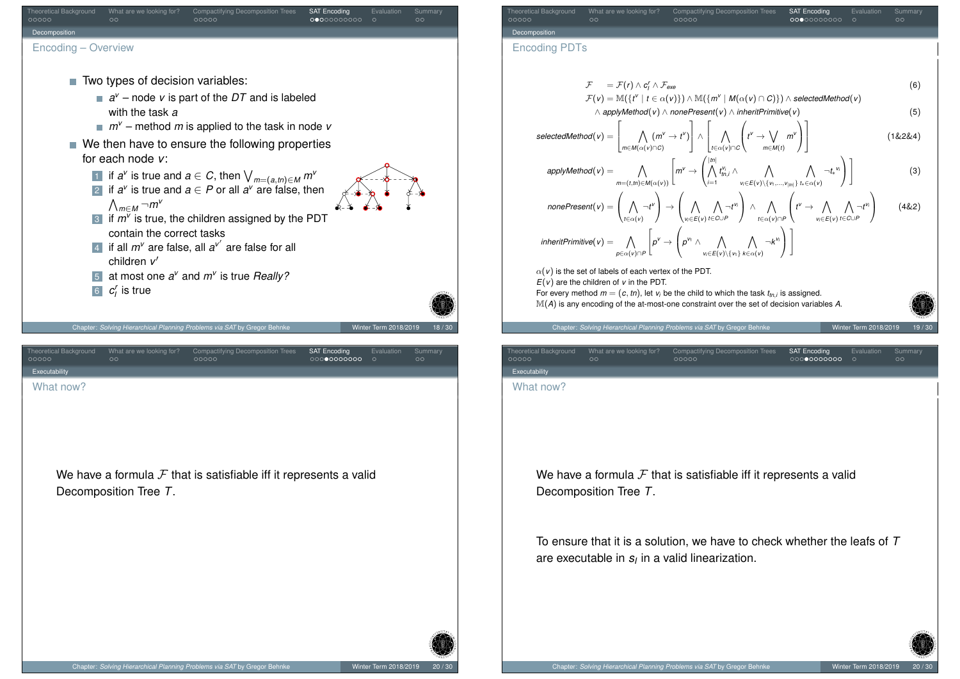<span id="page-11-0"></span>

| Theoretical Background<br>What are we looking for?<br><b>Compactifying Decomposition Trees</b><br>Evaluation<br>Summary<br><b>SAT Encoding</b><br>00000<br>$\circ$<br>00000<br>0000000000<br>$\circ$                                                                                                     |       |
|----------------------------------------------------------------------------------------------------------------------------------------------------------------------------------------------------------------------------------------------------------------------------------------------------------|-------|
| Decomposition                                                                                                                                                                                                                                                                                            |       |
| <b>Encoding PDTs</b>                                                                                                                                                                                                                                                                                     |       |
| $\mathcal{F} = \mathcal{F}(r) \wedge c'_1 \wedge \mathcal{F}_{\text{exe}}$<br>$\mathcal{F}(v) = \mathbb{M}(\{t^v \mid t \in \alpha(v)\}) \wedge \mathbb{M}(\{m^v \mid M(\alpha(v) \cap C)\}) \wedge \text{selectedMethod}(v)$                                                                            | (6)   |
| $\wedge$ applyMethod(v) $\wedge$ nonePresent(v) $\wedge$ inheritPrimitive(v)                                                                                                                                                                                                                             | (5)   |
| $selectedMethod(v) = \left\lfloor \bigwedge_{m \in M(\alpha(v) \cap C)} (m^v \rightarrow t^v) \right\rfloor \wedge \left\lfloor \bigwedge_{t \in \alpha(v) \cap C} \left( t^v \rightarrow \bigvee_{m \in M(t)} m^v \right) \right\rfloor$<br>(1&2&4)                                                     |       |
| $\mathit{applyMethod}(v) = \bigwedge_{m=(t,m) \in M(\alpha(v))} \left[ m^v \rightarrow \left( \bigwedge_{i=1}^{ m } t_{m,i}^{v_i} \wedge \bigwedge_{v_i \in E(v) \backslash \{v_1,,v_{ m \}}}\bigwedge_{t_i \in \alpha(v)} \neg t_*^{v_i} \right) \right]$                                               | (3)   |
| $nonePresent(v) = \left(\bigwedge_{t \in \alpha(v)} \neg t^{v}\right) \rightarrow \left(\bigwedge_{v_i \in E(v)} \bigwedge_{t \in G \cup P} \neg t^{v_i}\right) \land \bigwedge_{t \in \alpha(v) \cap P}\left(t^{v} \rightarrow \bigwedge_{v_i \in E(v)} \bigwedge_{t \in C \cup P} \neg t^{v_i}\right)$ | (4&2) |
| $\mathit{inheritPrimitive}(v) = \bigwedge_{p \in \alpha(v) \cap P} \left[ p^v \rightarrow \left( p^v \land \bigwedge_{v_i \in E(v) \setminus \{v_i\}} \bigwedge_{k \in \alpha(v)} \neg k^{v_i} \right) \right]$                                                                                          |       |
| $\alpha(v)$ is the set of labels of each vertex of the PDT.                                                                                                                                                                                                                                              |       |
| $E(v)$ are the children of v in the PDT.<br>For every method $m = (c, tn)$ , let $v_i$ be the child to which the task $t_{tn,i}$ is assigned.                                                                                                                                                            |       |
| $\mathbb{M}(A)$ is any encoding of the at-most-one constraint over the set of decision variables A.                                                                                                                                                                                                      |       |
| Chapter: Solving Hierarchical Planning Problems via SAT by Gregor Behnke<br>Winter Term 2018/2019                                                                                                                                                                                                        |       |
| <b>Theoretical Background</b><br>What are we looking for?<br><b>Compactifying Decomposition Trees</b><br>Evaluation<br>Summary<br><b>SAT Encoding</b><br>00000<br>0000000000<br>$\circ$<br>00000<br>$\circ$                                                                                              |       |
| Executability<br>What now?                                                                                                                                                                                                                                                                               |       |
|                                                                                                                                                                                                                                                                                                          |       |
|                                                                                                                                                                                                                                                                                                          |       |
|                                                                                                                                                                                                                                                                                                          |       |
| We have a formula $F$ that is satisfiable iff it represents a valid                                                                                                                                                                                                                                      |       |
| Decomposition Tree T.                                                                                                                                                                                                                                                                                    |       |
| To ensure that it is a solution, we have to check whether the leafs of $T$<br>are executable in $s_i$ in a valid linearization.                                                                                                                                                                          |       |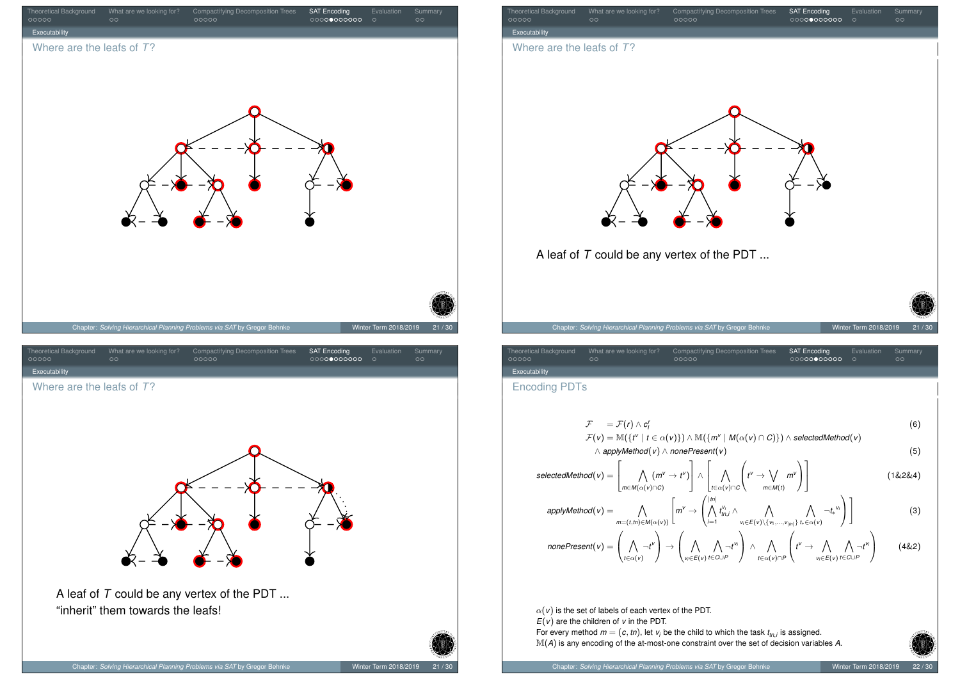



Theoretical Background What are we looking for? Compactifying Decomposition Trees SAT Encoding Evaluation Summary Executability Where are the leafs of *T*? A leaf of *T* could be any vertex of the PDT ... Chapter: *Solving Hierarchical Planning Problems via SAT* by Gregor Behnke Winter Term 2018/2019

| <b>Theoretical Background</b><br>00000 | What are we looking for?<br>oο | Compactifying Decomposition Trees<br>00000 | <b>SAT Encoding</b><br>00000000000 | Evaluation | Summary<br>೧೧ |
|----------------------------------------|--------------------------------|--------------------------------------------|------------------------------------|------------|---------------|
| Executability                          |                                |                                            |                                    |            |               |
|                                        |                                |                                            |                                    |            |               |

Encoding PDTs

$$
\mathcal{F} = \mathcal{F}(r) \wedge c'_1
$$
\n
$$
\mathcal{F}(v) = \mathbb{M}(\{t^v \mid t \in \alpha(v)\}) \wedge \mathbb{M}(\{m^v \mid M(\alpha(v) \cap C)\}) \wedge selectedMethod(v)
$$
\n
$$
\wedge applyMethod(v) \wedge nonePresent(v)
$$
\n(5)

$$
selectedMethod(v) = \left[\bigwedge_{m \in M(\alpha(v) \cap C)} (m^v \to t^v)\right] \wedge \left[\bigwedge_{t \in \alpha(v) \cap C} \left(t^v \to \bigvee_{m \in M(t)} m^v\right)\right]
$$
(1&2&4)

$$
applyMethod(v) = \bigwedge_{m=(t,tt)\in M(\alpha(v))}\left[m^v \to \left(\bigwedge_{i=1}^{|tt|} t_{tn,i}^{v_i} \wedge \bigwedge_{v_i\in E(v)\setminus\{v_1,\dots,v_{|m|}\}} \bigwedge_{t_*\in \alpha(v)} \neg t_*^{v_i}\right)\right]
$$
(3)

$$
nonePresent(v) = \left(\bigwedge_{t \in \alpha(v)} \neg t^v\right) \rightarrow \left(\bigwedge_{v_i \in E(v)} \bigwedge_{t \in \alpha(v)} \neg t^{v_i}\right) \land \bigwedge_{t \in \alpha(v) \cap P} \left(t^v \rightarrow \bigwedge_{v_i \in E(v)} \bigwedge_{t \in \alpha(v) \cap P} \neg t^{v_i}\right)
$$
(4&2)

 $\alpha$ ( $v$ ) is the set of labels of each vertex of the PDT. *E*(*v*) are the children of *v* in the PDT. For every method  $m = (c, tn)$ , let  $v_i$  be the child to which the task  $t_{tn,i}$  is assigned. M(*A*) is any encoding of the at-most-one constraint over the set of decision variables *<sup>A</sup>*.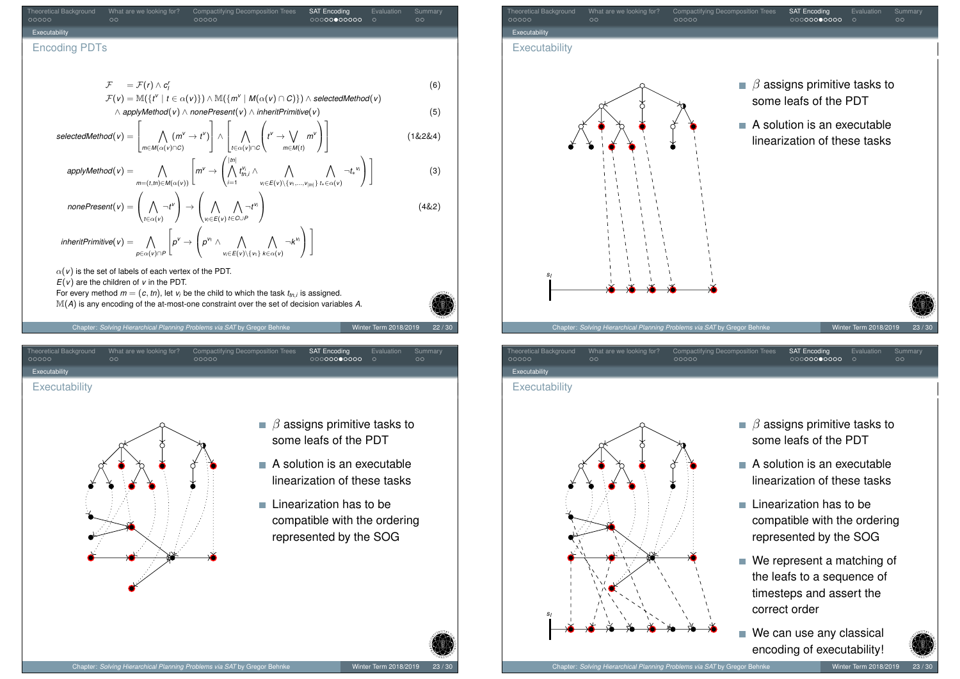Theoretical Background What are we looking for? Compactifying Decomposition Trees SAT Encoding Evaluation Summary Executability Encoding PDTs

$$
\mathcal{F} = \mathcal{F}(r) \wedge c'_1
$$
  
\n
$$
\mathcal{F}(v) = \mathbb{M}(\{t^v \mid t \in \alpha(v)\}) \wedge \mathbb{M}(\{m^v \mid M(\alpha(v) \cap C)\}) \wedge selectedMethod(v)
$$
\n(6)

$$
\wedge \text{ applyMethod}(v) \wedge \text{nonePresent}(v) \wedge \text{inheritPrimitive}(v) \tag{5}
$$
\n
$$
\text{selectedMethod}(v) = \left[ \bigwedge_{m \in M(\alpha(v) \cap C)} (m^v \to t^v) \right] \wedge \left[ \bigwedge_{t \in \alpha(v) \cap C} \left( t^v \to \bigvee_{m \in M(t)} m^v \right) \right] \tag{1\&2\&4}
$$

$$
applyMethod(v) = \bigwedge_{m=(t,m)\in M(\alpha(v))}\left[m^v \to \left(\bigwedge_{i=1}^{|m|} t_{m,i}^{v_i} \wedge \bigwedge_{v_i\in E(v)\setminus\{v_1,\dots,v_{|m|\}}}\bigwedge_{t_k\in \alpha(v)} \neg t_*^{v_i}\right)\right]
$$
(3)

$$
nonePresent(v) = \left(\bigwedge_{t \in \alpha(v)} \neg t^{v}\right) \rightarrow \left(\bigwedge_{v_i \in E(v)} \bigwedge_{t \in C \cup P} \neg t^{v_i}\right)
$$
\n(4&2)

$$
\mathit{inheritPrimitive}(v) = \bigwedge_{p \in \alpha(v) \cap P} \left[ p^v \rightarrow \left( p^{v_1} \wedge \bigwedge_{v_i \in E(v) \setminus \{v_i\}} \bigwedge_{k \in \alpha(v)} \neg k^{v_i} \right) \right]
$$

 $\alpha$ ( $v$ ) is the set of labels of each vertex of the PDT.

 $E(v)$  are the children of *v* in the PDT.

For every method  $m = (c, tn)$ , let  $v_i$  be the child to which the task  $t_{tn,i}$  is assigned. M(*A*) is any encoding of the at-most-one constraint over the set of decision variables *<sup>A</sup>*.

Chapter: *Solving Hierarchical Planning Problems via SAT* by Gregor Behnke Winter Term 2018/2019 22 / 30

Theoretical Background What are we looking for? Compactifying Decomposition Trees SAT Encoding Evaluation Summary

## **[Exe](#page-11-0)cutabil[it](#page-3-0)[y](#page-4-0)**

**[Executability](#page-1-0)** 



- $\blacksquare$   $\beta$  assigns primitive tasks to some leafs of the PDT
- $\blacksquare$  A solution is an executable linearization of these tasks
- $\blacksquare$  Linearization has to be compatible with the ordering represented by the SOG



# Theoretical Background What are we looking for? Compactifying Decomposition Trees SAT Encoding Evaluation Summary **Executability**

#### **Executability**



- $\blacksquare$   $\beta$  assigns primitive tasks to some leafs of the PDT
- A solution is an executable linearization of these tasks
- $\blacksquare$  Linearization has to be compatible with the ordering represented by the SOG
- We represent a matching of the leafs to a sequence of timesteps and assert the correct order
- We can use any classical encoding of executability!

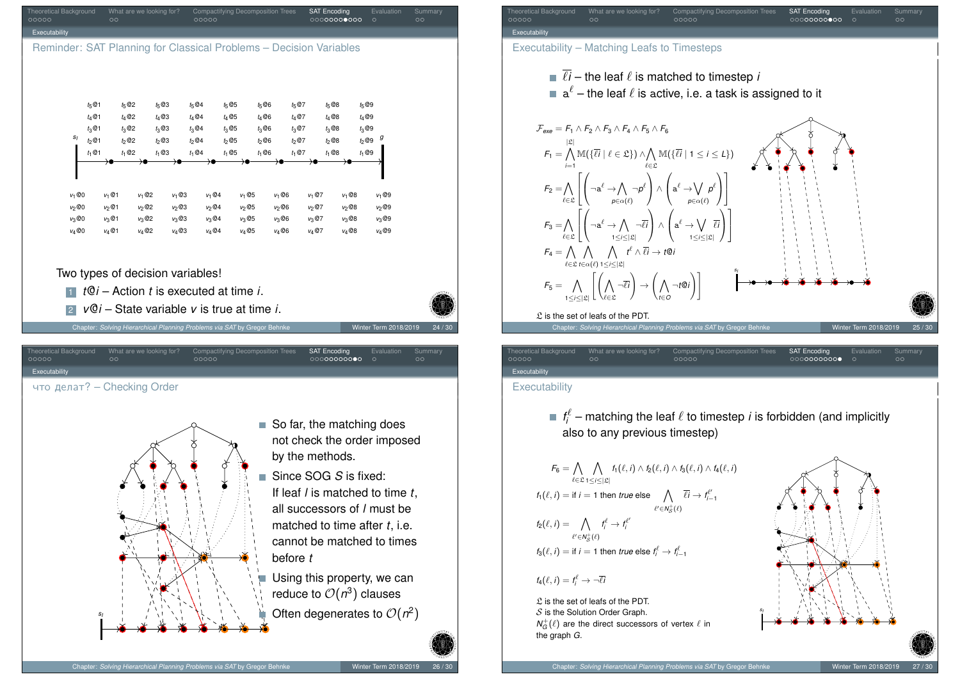



Executability

#### **Executability**

 $f_i^\ell$  – matching the leaf  $\ell$  to timestep *i* is forbidden (and implicitly also to any previous timestep)

$$
F_6 = \bigwedge_{\ell \in \mathfrak{L}} \bigwedge_{1 \leq i \leq |\mathfrak{L}|} f_1(\ell, i) \wedge f_2(\ell, i) \wedge f_3(\ell, i) \wedge f_4(\ell, i)
$$
  

$$
f_1(\ell, i) = \text{if } i = 1 \text{ then } true \text{ else } \bigwedge_{\ell' \in N_S^+(\ell)} \overline{\ell}i \to f_{i-1}^{\ell'}
$$
  

$$
f_2(\ell, i) = \bigwedge_{\ell' \in N_S^+(\ell)} f_i^{\ell} \to f_i^{\ell'}
$$
  

$$
f_3(\ell, i) = \text{if } i = 1 \text{ then } true \text{ else } f_i^{\ell} \to f_{i-1}^{\ell'}
$$

 $f_4(\ell, i) = f_i^{\ell} \rightarrow \neg \overline{\ell}i$ 

 $\mathfrak L$  is the set of leafs of the PDT.  $S$  is the Solution Order Graph.  $N_G^+(\ell)$  are the direct successors of vertex  $\ell$  in the graph *G*.